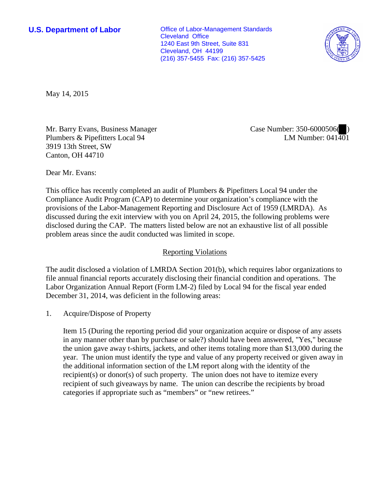**U.S. Department of Labor Conservative Conservative Conservative Conservative Conservative Conservative Conservative Conservative Conservative Conservative Conservative Conservative Conservative Conservative Conservative** Cleveland Office 1240 East 9th Street, Suite 831 Cleveland, OH 44199 (216) 357-5455 Fax: (216) 357-5425



May 14, 2015

Mr. Barry Evans, Business Manager Plumbers & Pipefitters Local 94 3919 13th Street, SW Canton, OH 44710

Case Number: 350-6000506( ) LM Number:  $041\overline{40}1$ 

Dear Mr. Evans:

This office has recently completed an audit of Plumbers & Pipefitters Local 94 under the Compliance Audit Program (CAP) to determine your organization's compliance with the provisions of the Labor-Management Reporting and Disclosure Act of 1959 (LMRDA). As discussed during the exit interview with you on April 24, 2015, the following problems were disclosed during the CAP. The matters listed below are not an exhaustive list of all possible problem areas since the audit conducted was limited in scope.

## Reporting Violations

The audit disclosed a violation of LMRDA Section 201(b), which requires labor organizations to file annual financial reports accurately disclosing their financial condition and operations. The Labor Organization Annual Report (Form LM-2) filed by Local 94 for the fiscal year ended December 31, 2014, was deficient in the following areas:

1. Acquire/Dispose of Property

Item 15 (During the reporting period did your organization acquire or dispose of any assets in any manner other than by purchase or sale?) should have been answered, "Yes," because the union gave away t-shirts, jackets, and other items totaling more than \$13,000 during the year. The union must identify the type and value of any property received or given away in the additional information section of the LM report along with the identity of the recipient(s) or donor(s) of such property. The union does not have to itemize every recipient of such giveaways by name. The union can describe the recipients by broad categories if appropriate such as "members" or "new retirees."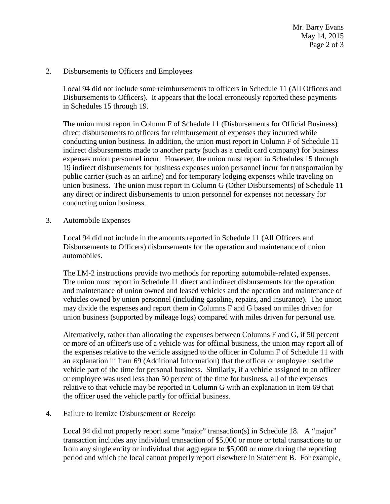Mr. Barry Evans May 14, 2015 Page 2 of 3

2. Disbursements to Officers and Employees

Local 94 did not include some reimbursements to officers in Schedule 11 (All Officers and Disbursements to Officers). It appears that the local erroneously reported these payments in Schedules 15 through 19.

The union must report in Column F of Schedule 11 (Disbursements for Official Business) direct disbursements to officers for reimbursement of expenses they incurred while conducting union business. In addition, the union must report in Column F of Schedule 11 indirect disbursements made to another party (such as a credit card company) for business expenses union personnel incur. However, the union must report in Schedules 15 through 19 indirect disbursements for business expenses union personnel incur for transportation by public carrier (such as an airline) and for temporary lodging expenses while traveling on union business. The union must report in Column G (Other Disbursements) of Schedule 11 any direct or indirect disbursements to union personnel for expenses not necessary for conducting union business.

3. Automobile Expenses

Local 94 did not include in the amounts reported in Schedule 11 (All Officers and Disbursements to Officers) disbursements for the operation and maintenance of union automobiles.

The LM-2 instructions provide two methods for reporting automobile-related expenses. The union must report in Schedule 11 direct and indirect disbursements for the operation and maintenance of union owned and leased vehicles and the operation and maintenance of vehicles owned by union personnel (including gasoline, repairs, and insurance). The union may divide the expenses and report them in Columns F and G based on miles driven for union business (supported by mileage logs) compared with miles driven for personal use.

Alternatively, rather than allocating the expenses between Columns F and G, if 50 percent or more of an officer's use of a vehicle was for official business, the union may report all of the expenses relative to the vehicle assigned to the officer in Column F of Schedule 11 with an explanation in Item 69 (Additional Information) that the officer or employee used the vehicle part of the time for personal business. Similarly, if a vehicle assigned to an officer or employee was used less than 50 percent of the time for business, all of the expenses relative to that vehicle may be reported in Column G with an explanation in Item 69 that the officer used the vehicle partly for official business.

4. Failure to Itemize Disbursement or Receipt

Local 94 did not properly report some "major" transaction(s) in Schedule 18. A "major" transaction includes any individual transaction of \$5,000 or more or total transactions to or from any single entity or individual that aggregate to \$5,000 or more during the reporting period and which the local cannot properly report elsewhere in Statement B. For example,